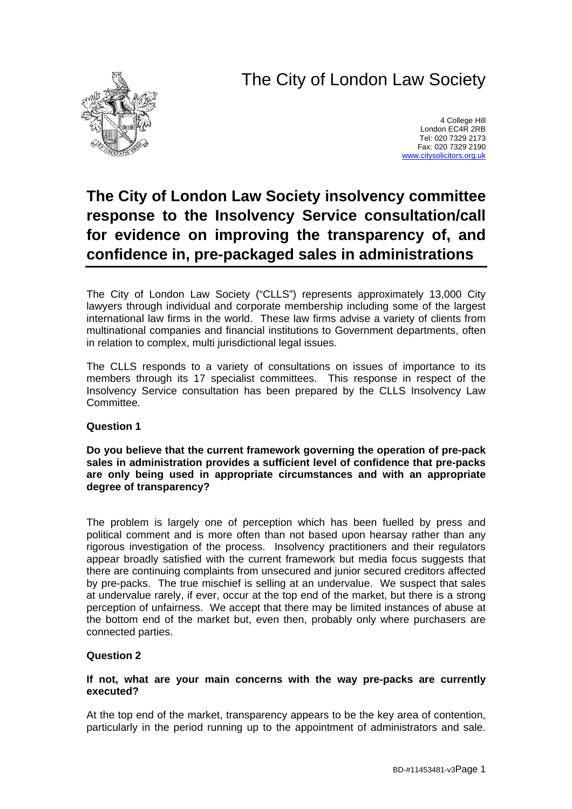# The City of London Law Society



4 College Hill London EC4R 2RB Tel: 020 7329 2173 Fax: 020 7329 2190 [www.citysolicitors.org.uk](http://www.citysolicitors.org.uk/)

## **The City of London Law Society insolvency committee response to the Insolvency Service consultation/call for evidence on improving the transparency of, and confidence in, pre-packaged sales in administrations**

The City of London Law Society ("CLLS") represents approximately 13,000 City lawyers through individual and corporate membership including some of the largest international law firms in the world. These law firms advise a variety of clients from multinational companies and financial institutions to Government departments, often in relation to complex, multi jurisdictional legal issues.

The CLLS responds to a variety of consultations on issues of importance to its members through its 17 specialist committees. This response in respect of the Insolvency Service consultation has been prepared by the CLLS Insolvency Law **Committee.** 

## **Question 1**

**Do you believe that the current framework governing the operation of pre-pack sales in administration provides a sufficient level of confidence that pre-packs are only being used in appropriate circumstances and with an appropriate degree of transparency?**

The problem is largely one of perception which has been fuelled by press and political comment and is more often than not based upon hearsay rather than any rigorous investigation of the process. Insolvency practitioners and their regulators appear broadly satisfied with the current framework but media focus suggests that there are continuing complaints from unsecured and junior secured creditors affected by pre-packs. The true mischief is selling at an undervalue. We suspect that sales at undervalue rarely, if ever, occur at the top end of the market, but there is a strong perception of unfairness. We accept that there may be limited instances of abuse at the bottom end of the market but, even then, probably only where purchasers are connected parties.

## **Question 2**

## **If not, what are your main concerns with the way pre-packs are currently executed?**

At the top end of the market, transparency appears to be the key area of contention, particularly in the period running up to the appointment of administrators and sale.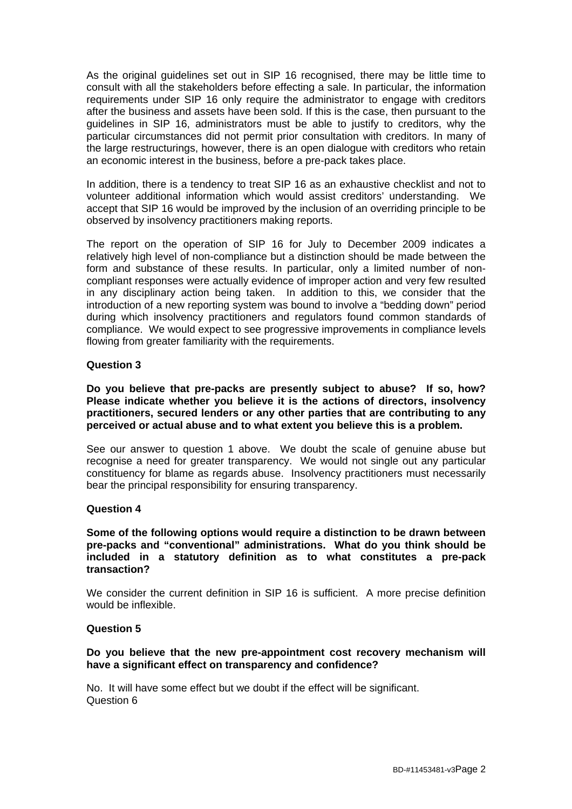As the original guidelines set out in SIP 16 recognised, there may be little time to consult with all the stakeholders before effecting a sale. In particular, the information requirements under SIP 16 only require the administrator to engage with creditors after the business and assets have been sold. If this is the case, then pursuant to the guidelines in SIP 16, administrators must be able to justify to creditors, why the particular circumstances did not permit prior consultation with creditors. In many of the large restructurings, however, there is an open dialogue with creditors who retain an economic interest in the business, before a pre-pack takes place.

In addition, there is a tendency to treat SIP 16 as an exhaustive checklist and not to volunteer additional information which would assist creditors' understanding. We accept that SIP 16 would be improved by the inclusion of an overriding principle to be observed by insolvency practitioners making reports.

The report on the operation of SIP 16 for July to December 2009 indicates a relatively high level of non-compliance but a distinction should be made between the form and substance of these results. In particular, only a limited number of noncompliant responses were actually evidence of improper action and very few resulted in any disciplinary action being taken. In addition to this, we consider that the introduction of a new reporting system was bound to involve a "bedding down" period during which insolvency practitioners and regulators found common standards of compliance. We would expect to see progressive improvements in compliance levels flowing from greater familiarity with the requirements.

## **Question 3**

**Do you believe that pre-packs are presently subject to abuse? If so, how? Please indicate whether you believe it is the actions of directors, insolvency practitioners, secured lenders or any other parties that are contributing to any perceived or actual abuse and to what extent you believe this is a problem.**

See our answer to question 1 above. We doubt the scale of genuine abuse but recognise a need for greater transparency. We would not single out any particular constituency for blame as regards abuse. Insolvency practitioners must necessarily bear the principal responsibility for ensuring transparency.

## **Question 4**

**Some of the following options would require a distinction to be drawn between pre-packs and "conventional" administrations. What do you think should be included in a statutory definition as to what constitutes a pre-pack transaction?**

We consider the current definition in SIP 16 is sufficient. A more precise definition would be inflexible.

## **Question 5**

## **Do you believe that the new pre-appointment cost recovery mechanism will have a significant effect on transparency and confidence?**

No. It will have some effect but we doubt if the effect will be significant. Question 6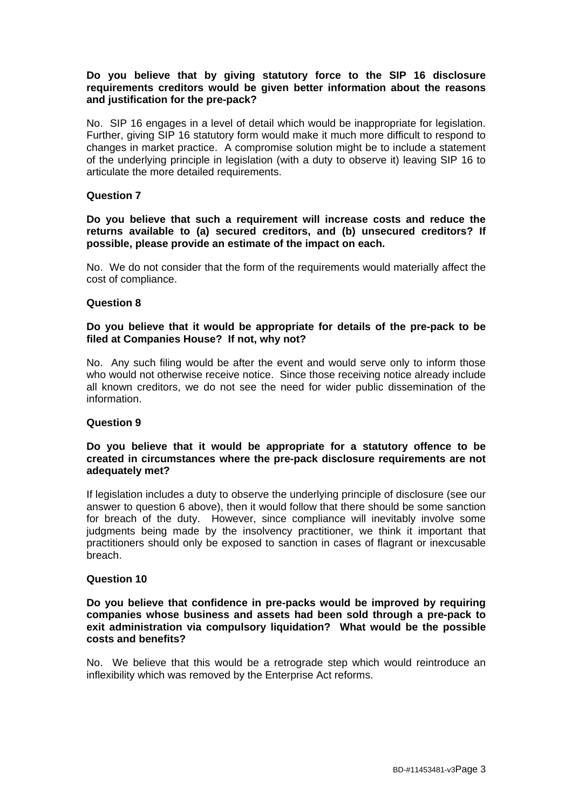## **Do you believe that by giving statutory force to the SIP 16 disclosure requirements creditors would be given better information about the reasons and justification for the pre-pack?**

No. SIP 16 engages in a level of detail which would be inappropriate for legislation. Further, giving SIP 16 statutory form would make it much more difficult to respond to changes in market practice. A compromise solution might be to include a statement of the underlying principle in legislation (with a duty to observe it) leaving SIP 16 to articulate the more detailed requirements.

## **Question 7**

**Do you believe that such a requirement will increase costs and reduce the returns available to (a) secured creditors, and (b) unsecured creditors? If possible, please provide an estimate of the impact on each.**

No. We do not consider that the form of the requirements would materially affect the cost of compliance.

## **Question 8**

## **Do you believe that it would be appropriate for details of the pre-pack to be filed at Companies House? If not, why not?**

No. Any such filing would be after the event and would serve only to inform those who would not otherwise receive notice. Since those receiving notice already include all known creditors, we do not see the need for wider public dissemination of the information.

## **Question 9**

## **Do you believe that it would be appropriate for a statutory offence to be created in circumstances where the pre-pack disclosure requirements are not adequately met?**

If legislation includes a duty to observe the underlying principle of disclosure (see our answer to question 6 above), then it would follow that there should be some sanction for breach of the duty. However, since compliance will inevitably involve some judgments being made by the insolvency practitioner, we think it important that practitioners should only be exposed to sanction in cases of flagrant or inexcusable breach.

## **Question 10**

## **Do you believe that confidence in pre-packs would be improved by requiring companies whose business and assets had been sold through a pre-pack to exit administration via compulsory liquidation? What would be the possible costs and benefits?**

No. We believe that this would be a retrograde step which would reintroduce an inflexibility which was removed by the Enterprise Act reforms.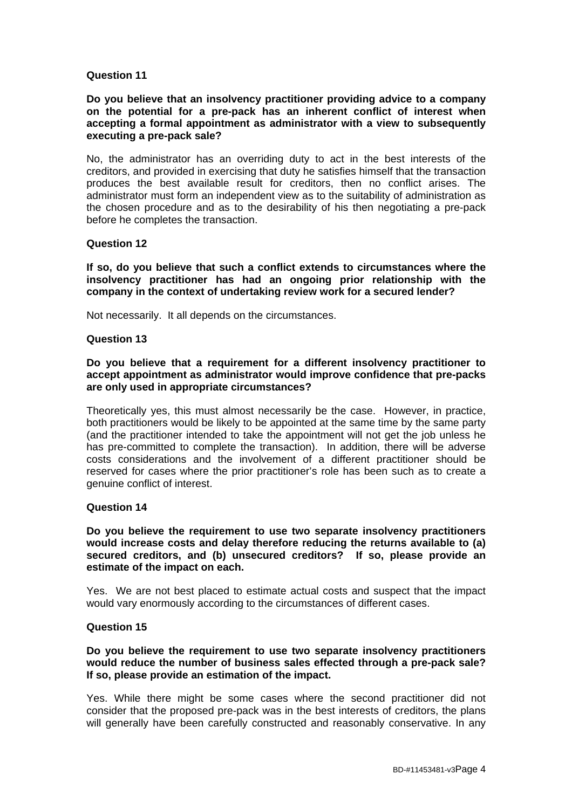## **Question 11**

## **Do you believe that an insolvency practitioner providing advice to a company on the potential for a pre-pack has an inherent conflict of interest when accepting a formal appointment as administrator with a view to subsequently executing a pre-pack sale?**

No, the administrator has an overriding duty to act in the best interests of the creditors, and provided in exercising that duty he satisfies himself that the transaction produces the best available result for creditors, then no conflict arises. The administrator must form an independent view as to the suitability of administration as the chosen procedure and as to the desirability of his then negotiating a pre-pack before he completes the transaction.

#### **Question 12**

**If so, do you believe that such a conflict extends to circumstances where the insolvency practitioner has had an ongoing prior relationship with the company in the context of undertaking review work for a secured lender?**

Not necessarily. It all depends on the circumstances.

#### **Question 13**

## **Do you believe that a requirement for a different insolvency practitioner to accept appointment as administrator would improve confidence that pre-packs are only used in appropriate circumstances?**

Theoretically yes, this must almost necessarily be the case. However, in practice, both practitioners would be likely to be appointed at the same time by the same party (and the practitioner intended to take the appointment will not get the job unless he has pre-committed to complete the transaction). In addition, there will be adverse costs considerations and the involvement of a different practitioner should be reserved for cases where the prior practitioner's role has been such as to create a genuine conflict of interest.

#### **Question 14**

**Do you believe the requirement to use two separate insolvency practitioners would increase costs and delay therefore reducing the returns available to (a) secured creditors, and (b) unsecured creditors? If so, please provide an estimate of the impact on each.**

Yes. We are not best placed to estimate actual costs and suspect that the impact would vary enormously according to the circumstances of different cases.

## **Question 15**

## **Do you believe the requirement to use two separate insolvency practitioners would reduce the number of business sales effected through a pre-pack sale? If so, please provide an estimation of the impact.**

Yes. While there might be some cases where the second practitioner did not consider that the proposed pre-pack was in the best interests of creditors, the plans will generally have been carefully constructed and reasonably conservative. In any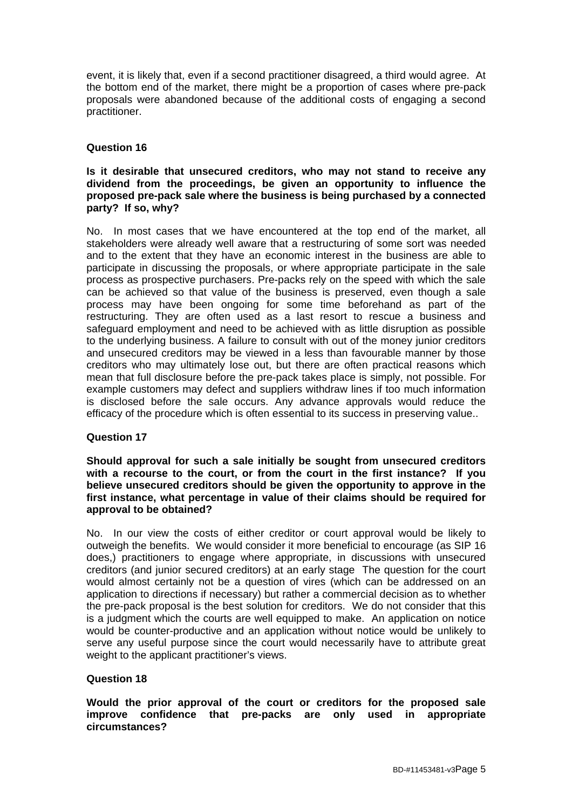event, it is likely that, even if a second practitioner disagreed, a third would agree. At the bottom end of the market, there might be a proportion of cases where pre-pack proposals were abandoned because of the additional costs of engaging a second practitioner.

## **Question 16**

## **Is it desirable that unsecured creditors, who may not stand to receive any dividend from the proceedings, be given an opportunity to influence the proposed pre-pack sale where the business is being purchased by a connected party? If so, why?**

No. In most cases that we have encountered at the top end of the market, all stakeholders were already well aware that a restructuring of some sort was needed and to the extent that they have an economic interest in the business are able to participate in discussing the proposals, or where appropriate participate in the sale process as prospective purchasers. Pre-packs rely on the speed with which the sale can be achieved so that value of the business is preserved, even though a sale process may have been ongoing for some time beforehand as part of the restructuring. They are often used as a last resort to rescue a business and safeguard employment and need to be achieved with as little disruption as possible to the underlying business. A failure to consult with out of the money junior creditors and unsecured creditors may be viewed in a less than favourable manner by those creditors who may ultimately lose out, but there are often practical reasons which mean that full disclosure before the pre-pack takes place is simply, not possible. For example customers may defect and suppliers withdraw lines if too much information is disclosed before the sale occurs. Any advance approvals would reduce the efficacy of the procedure which is often essential to its success in preserving value..

## **Question 17**

## **Should approval for such a sale initially be sought from unsecured creditors with a recourse to the court, or from the court in the first instance? If you believe unsecured creditors should be given the opportunity to approve in the first instance, what percentage in value of their claims should be required for approval to be obtained?**

No. In our view the costs of either creditor or court approval would be likely to outweigh the benefits. We would consider it more beneficial to encourage (as SIP 16 does,) practitioners to engage where appropriate, in discussions with unsecured creditors (and junior secured creditors) at an early stage The question for the court would almost certainly not be a question of vires (which can be addressed on an application to directions if necessary) but rather a commercial decision as to whether the pre-pack proposal is the best solution for creditors. We do not consider that this is a judgment which the courts are well equipped to make. An application on notice would be counter-productive and an application without notice would be unlikely to serve any useful purpose since the court would necessarily have to attribute great weight to the applicant practitioner's views.

## **Question 18**

## **Would the prior approval of the court or creditors for the proposed sale improve confidence that pre-packs are only used in appropriate circumstances?**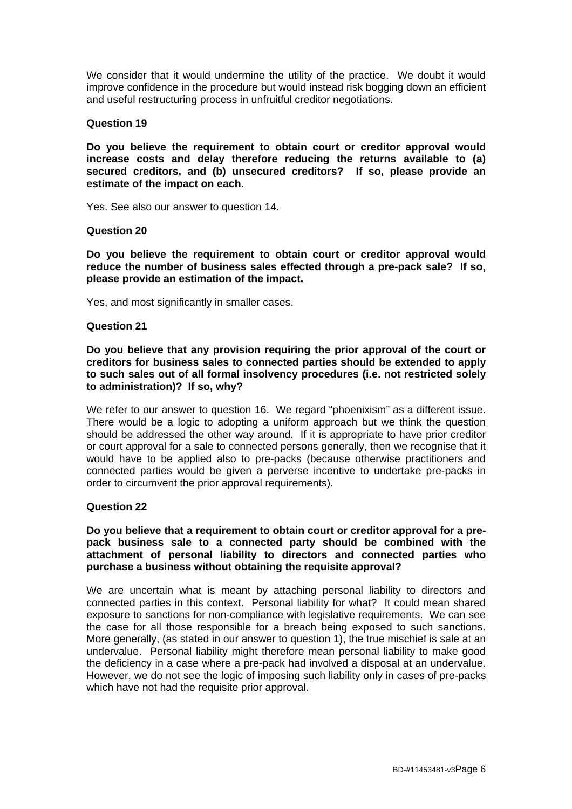We consider that it would undermine the utility of the practice. We doubt it would improve confidence in the procedure but would instead risk bogging down an efficient and useful restructuring process in unfruitful creditor negotiations.

## **Question 19**

**Do you believe the requirement to obtain court or creditor approval would increase costs and delay therefore reducing the returns available to (a) secured creditors, and (b) unsecured creditors? If so, please provide an estimate of the impact on each.**

Yes. See also our answer to question 14.

#### **Question 20**

**Do you believe the requirement to obtain court or creditor approval would reduce the number of business sales effected through a pre-pack sale? If so, please provide an estimation of the impact.**

Yes, and most significantly in smaller cases.

#### **Question 21**

**Do you believe that any provision requiring the prior approval of the court or creditors for business sales to connected parties should be extended to apply to such sales out of all formal insolvency procedures (i.e. not restricted solely to administration)? If so, why?**

We refer to our answer to question 16. We regard "phoenixism" as a different issue. There would be a logic to adopting a uniform approach but we think the question should be addressed the other way around. If it is appropriate to have prior creditor or court approval for a sale to connected persons generally, then we recognise that it would have to be applied also to pre-packs (because otherwise practitioners and connected parties would be given a perverse incentive to undertake pre-packs in order to circumvent the prior approval requirements).

## **Question 22**

## **Do you believe that a requirement to obtain court or creditor approval for a prepack business sale to a connected party should be combined with the attachment of personal liability to directors and connected parties who purchase a business without obtaining the requisite approval?**

We are uncertain what is meant by attaching personal liability to directors and connected parties in this context. Personal liability for what? It could mean shared exposure to sanctions for non-compliance with legislative requirements. We can see the case for all those responsible for a breach being exposed to such sanctions. More generally, (as stated in our answer to question 1), the true mischief is sale at an undervalue. Personal liability might therefore mean personal liability to make good the deficiency in a case where a pre-pack had involved a disposal at an undervalue. However, we do not see the logic of imposing such liability only in cases of pre-packs which have not had the requisite prior approval.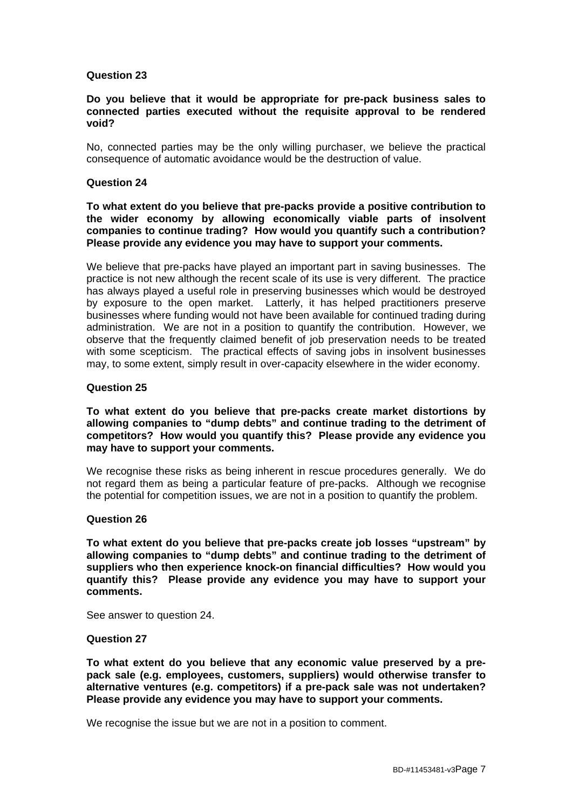## **Question 23**

#### **Do you believe that it would be appropriate for pre-pack business sales to connected parties executed without the requisite approval to be rendered void?**

No, connected parties may be the only willing purchaser, we believe the practical consequence of automatic avoidance would be the destruction of value.

## **Question 24**

## **To what extent do you believe that pre-packs provide a positive contribution to the wider economy by allowing economically viable parts of insolvent companies to continue trading? How would you quantify such a contribution? Please provide any evidence you may have to support your comments.**

We believe that pre-packs have played an important part in saving businesses. The practice is not new although the recent scale of its use is very different. The practice has always played a useful role in preserving businesses which would be destroyed by exposure to the open market. Latterly, it has helped practitioners preserve businesses where funding would not have been available for continued trading during administration. We are not in a position to quantify the contribution. However, we observe that the frequently claimed benefit of job preservation needs to be treated with some scepticism. The practical effects of saving jobs in insolvent businesses may, to some extent, simply result in over-capacity elsewhere in the wider economy.

## **Question 25**

## **To what extent do you believe that pre-packs create market distortions by allowing companies to "dump debts" and continue trading to the detriment of competitors? How would you quantify this? Please provide any evidence you may have to support your comments.**

We recognise these risks as being inherent in rescue procedures generally. We do not regard them as being a particular feature of pre-packs. Although we recognise the potential for competition issues, we are not in a position to quantify the problem.

## **Question 26**

**To what extent do you believe that pre-packs create job losses "upstream" by allowing companies to "dump debts" and continue trading to the detriment of suppliers who then experience knock-on financial difficulties? How would you quantify this? Please provide any evidence you may have to support your comments.**

See answer to question 24.

## **Question 27**

**To what extent do you believe that any economic value preserved by a prepack sale (e.g. employees, customers, suppliers) would otherwise transfer to alternative ventures (e.g. competitors) if a pre-pack sale was not undertaken? Please provide any evidence you may have to support your comments.**

We recognise the issue but we are not in a position to comment.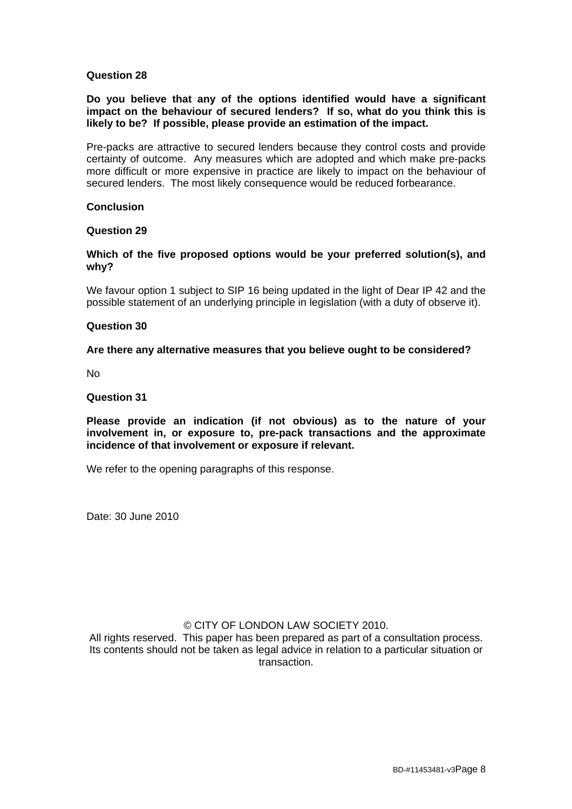## **Question 28**

**Do you believe that any of the options identified would have a significant impact on the behaviour of secured lenders? If so, what do you think this is likely to be? If possible, please provide an estimation of the impact.**

Pre-packs are attractive to secured lenders because they control costs and provide certainty of outcome. Any measures which are adopted and which make pre-packs more difficult or more expensive in practice are likely to impact on the behaviour of secured lenders. The most likely consequence would be reduced forbearance.

## **Conclusion**

## **Question 29**

**Which of the five proposed options would be your preferred solution(s), and why?**

We favour option 1 subject to SIP 16 being updated in the light of Dear IP 42 and the possible statement of an underlying principle in legislation (with a duty of observe it).

#### **Question 30**

## **Are there any alternative measures that you believe ought to be considered?**

No

## **Question 31**

**Please provide an indication (if not obvious) as to the nature of your involvement in, or exposure to, pre-pack transactions and the approximate incidence of that involvement or exposure if relevant.**

We refer to the opening paragraphs of this response.

Date: 30 June 2010

## © CITY OF LONDON LAW SOCIETY 2010.

All rights reserved. This paper has been prepared as part of a consultation process. Its contents should not be taken as legal advice in relation to a particular situation or transaction.